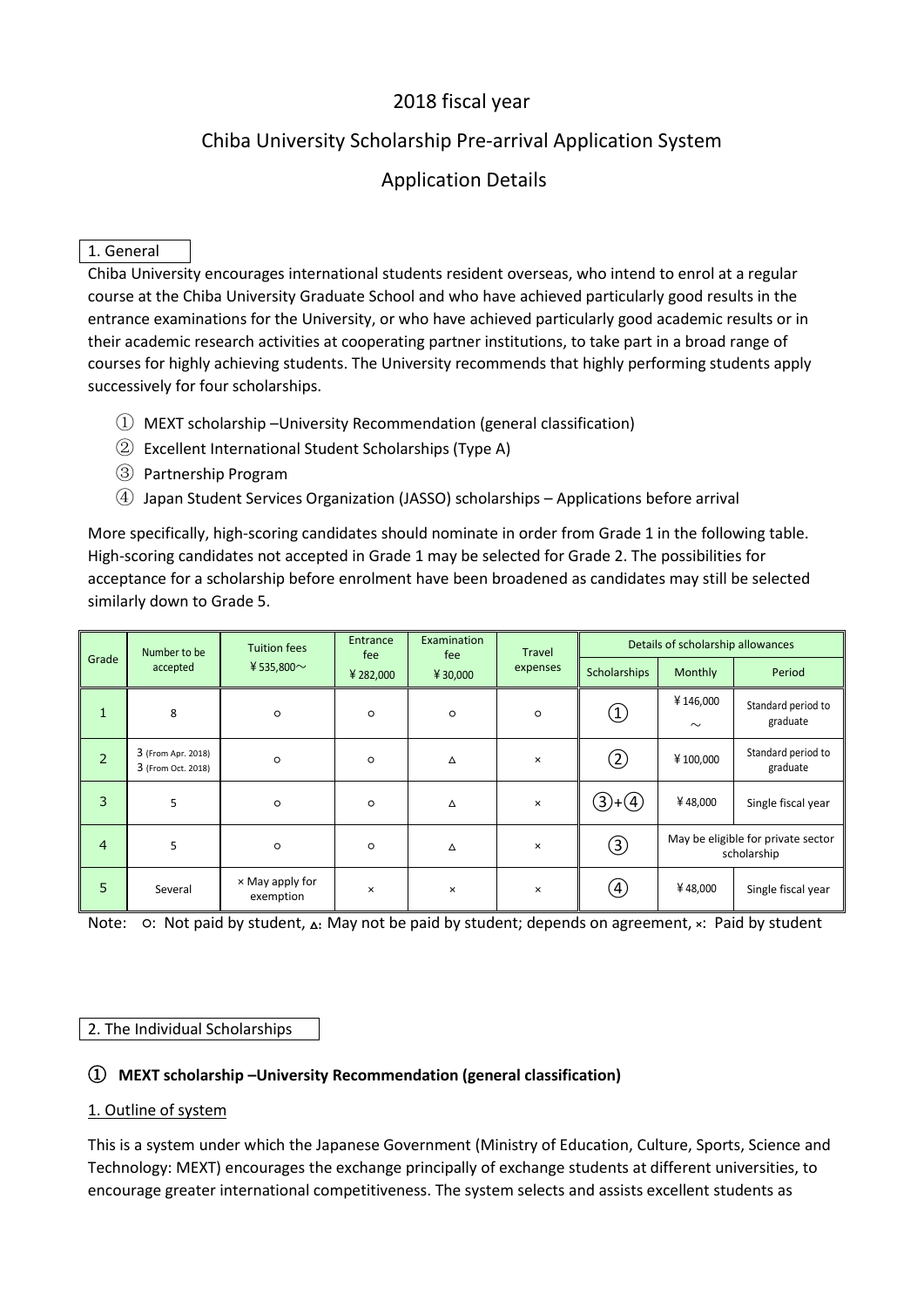# 2018 fiscal year

# Chiba University Scholarship Pre-arrival Application System

# Application Details

### 1. General

Chiba University encourages international students resident overseas, who intend to enrol at a regular course at the Chiba University Graduate School and who have achieved particularly good results in the entrance examinations for the University, or who have achieved particularly good academic results or in their academic research activities at cooperating partner institutions, to take part in a broad range of courses for highly achieving students. The University recommends that highly performing students apply successively for four scholarships.

- $(i)$  MEXT scholarship –University Recommendation (general classification)
- 2 Excellent International Student Scholarships (Type A)
- Ĺ Partnership Program
- ĺ Japan Student Services Organization (JASSO) scholarships Applications before arrival

More specifically, high-scoring candidates should nominate in order from Grade 1 in the following table. High-scoring candidates not accepted in Grade 1 may be selected for Grade 2. The possibilities for acceptance for a scholarship before enrolment have been broadened as candidates may still be selected similarly down to Grade 5.

| Grade          | Number to be<br>accepted                 | <b>Tuition fees</b><br>¥ 535,800 $\sim$ | Entrance<br>fee<br>¥ 282,000 | Examination<br>fee<br>¥ 30,000 | <b>Travel</b><br>expenses | Details of scholarship allowances |                                                   |                                |
|----------------|------------------------------------------|-----------------------------------------|------------------------------|--------------------------------|---------------------------|-----------------------------------|---------------------------------------------------|--------------------------------|
|                |                                          |                                         |                              |                                |                           | <b>Scholarships</b>               | Monthly                                           | Period                         |
| 1              | 8                                        | $\circ$                                 | $\circ$                      | $\circ$                        | $\circ$                   | $\left( 1\right)$                 | ¥146,000<br>$\sim$                                | Standard period to<br>graduate |
| 2              | 3 (From Apr. 2018)<br>3 (From Oct. 2018) | $\circ$                                 | $\circ$                      | Δ                              | $\times$                  | $^\mathrm{(2)}$                   | ¥100,000                                          | Standard period to<br>graduate |
| 3              | 5                                        | $\circ$                                 | $\circ$                      | Δ                              | $\times$                  | $(3) + (4)$                       | ¥48,000                                           | Single fiscal year             |
| $\overline{4}$ | 5                                        | $\circ$                                 | $\circ$                      | Δ                              | $\times$                  | ③                                 | May be eligible for private sector<br>scholarship |                                |
| 5              | Several                                  | $\times$ May apply for<br>exemption     | $\pmb{\times}$               | ×                              | $\times$                  | (4)                               | ¥48,000                                           | Single fiscal year             |

Note: o: Not paid by student,  $\Delta$ : May not be paid by student; depends on agreement, ×: Paid by student

#### 2. The Individual Scholarships

#### ķ **MEXT scholarship –University Recommendation (general classification)**

#### 1. Outline of system

This is a system under which the Japanese Government (Ministry of Education, Culture, Sports, Science and Technology: MEXT) encourages the exchange principally of exchange students at different universities, to encourage greater international competitiveness. The system selects and assists excellent students as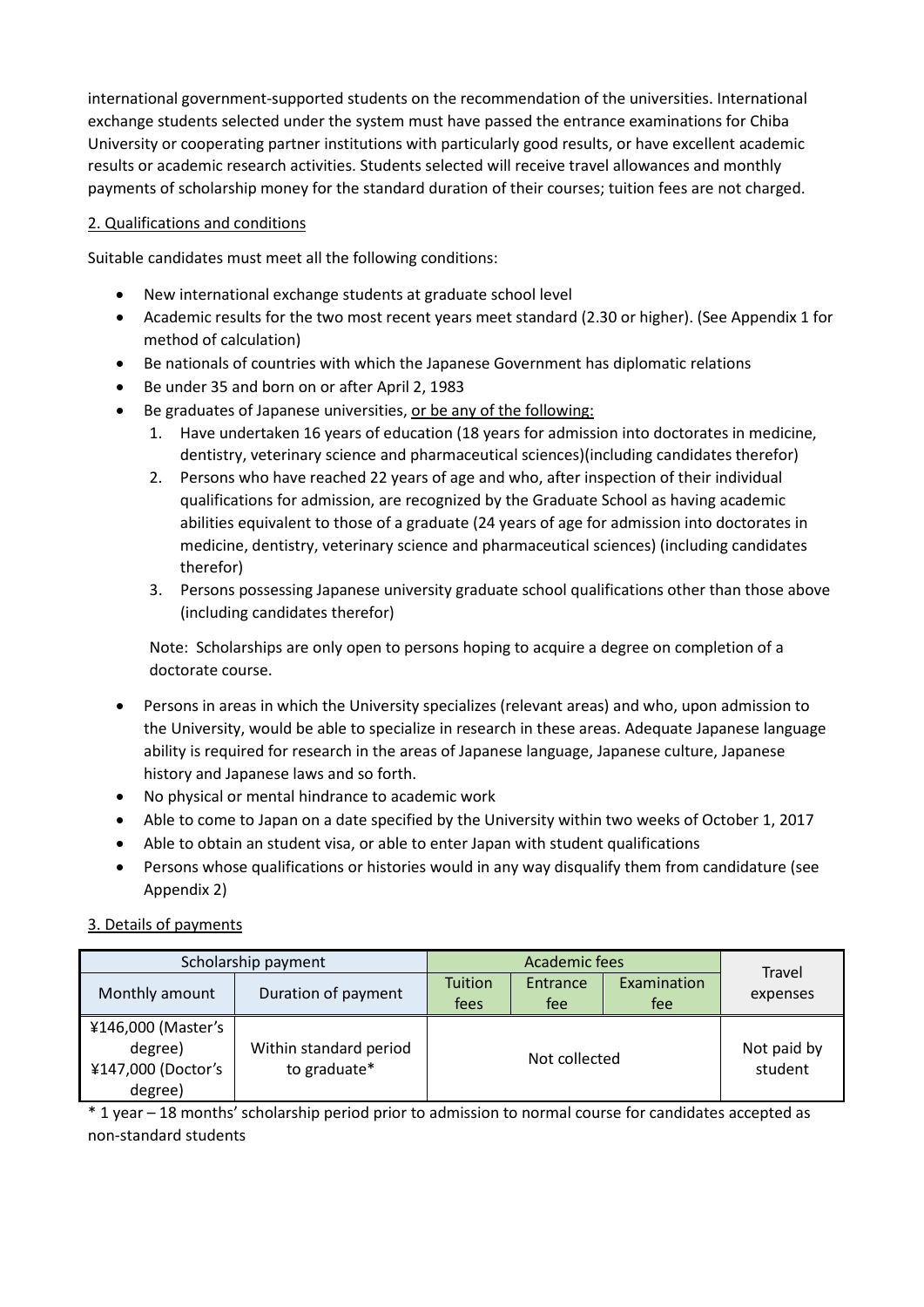international government-supported students on the recommendation of the universities. International exchange students selected under the system must have passed the entrance examinations for Chiba University or cooperating partner institutions with particularly good results, or have excellent academic results or academic research activities. Students selected will receive travel allowances and monthly payments of scholarship money for the standard duration of their courses; tuition fees are not charged.

#### 2. Qualifications and conditions

Suitable candidates must meet all the following conditions:

- New international exchange students at graduate school level
- Academic results for the two most recent years meet standard (2.30 or higher). (See Appendix 1 for method of calculation)
- Be nationals of countries with which the Japanese Government has diplomatic relations
- Be under 35 and born on or after April 2, 1983
- Be graduates of Japanese universities, or be any of the following:
	- 1. Have undertaken 16 years of education (18 years for admission into doctorates in medicine, dentistry, veterinary science and pharmaceutical sciences)(including candidates therefor)
	- 2. Persons who have reached 22 years of age and who, after inspection of their individual qualifications for admission, are recognized by the Graduate School as having academic abilities equivalent to those of a graduate (24 years of age for admission into doctorates in medicine, dentistry, veterinary science and pharmaceutical sciences) (including candidates therefor)
	- 3. Persons possessing Japanese university graduate school qualifications other than those above (including candidates therefor)

Note: Scholarships are only open to persons hoping to acquire a degree on completion of a doctorate course.

- Persons in areas in which the University specializes (relevant areas) and who, upon admission to the University, would be able to specialize in research in these areas. Adequate Japanese language ability is required for research in the areas of Japanese language, Japanese culture, Japanese history and Japanese laws and so forth.
- No physical or mental hindrance to academic work
- Able to come to Japan on a date specified by the University within two weeks of October 1, 2017
- Able to obtain an student visa, or able to enter Japan with student qualifications
- Persons whose qualifications or histories would in any way disqualify them from candidature (see Appendix 2)

# 3. Details of payments

|                                                                | Scholarship payment                    | Academic fees          |                 |                    | Travel                 |  |
|----------------------------------------------------------------|----------------------------------------|------------------------|-----------------|--------------------|------------------------|--|
| Monthly amount                                                 | Duration of payment                    | <b>Tuition</b><br>fees | Entrance<br>fee | Examination<br>fee | expenses               |  |
| ¥146,000 (Master's<br>degree)<br>¥147,000 (Doctor's<br>degree) | Within standard period<br>to graduate* |                        | Not collected   |                    | Not paid by<br>student |  |

\* 1 year – 18 months' scholarship period prior to admission to normal course for candidates accepted as non-standard students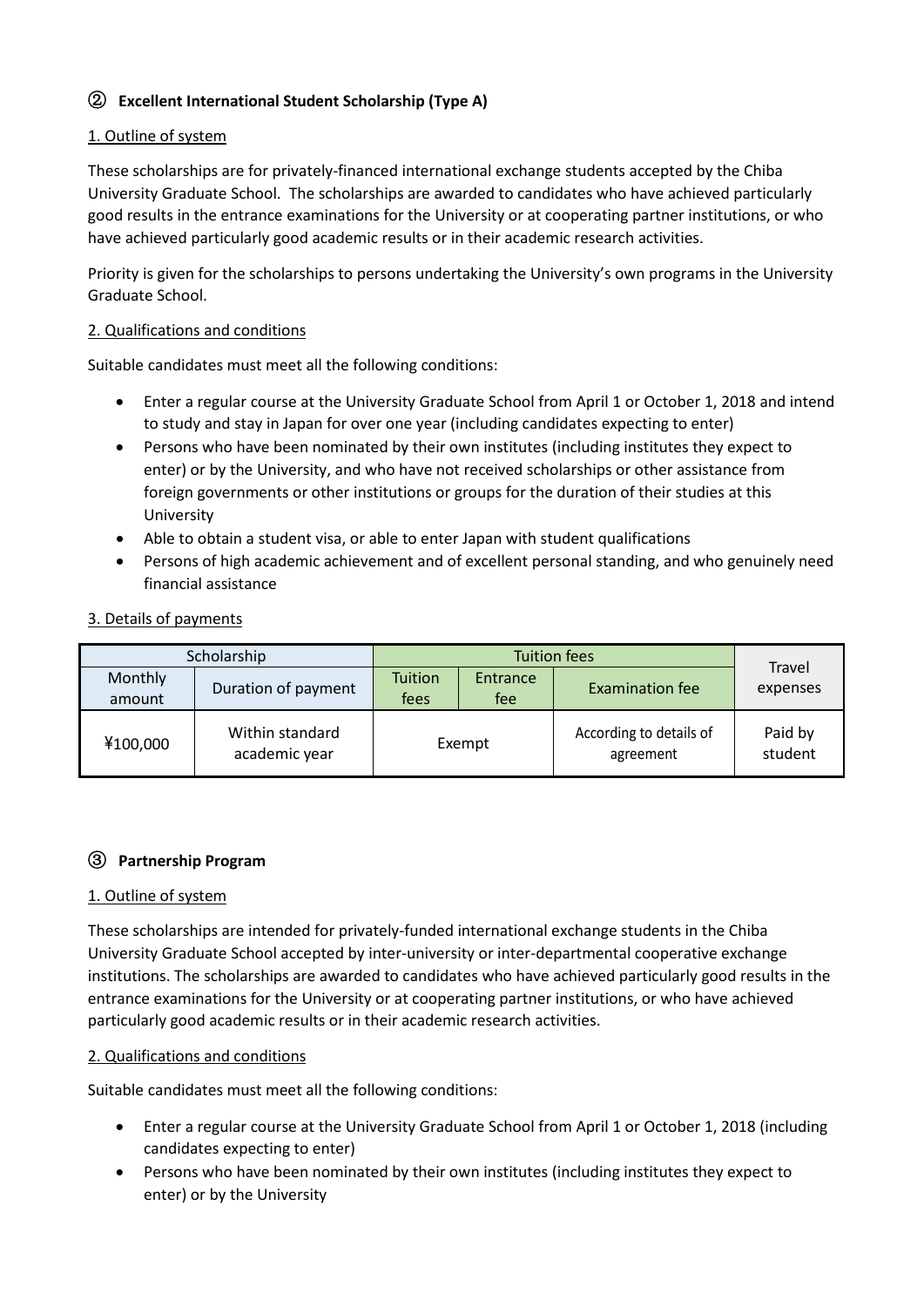# **(2) Excellent International Student Scholarship (Type A)**

### 1. Outline of system

These scholarships are for privately-financed international exchange students accepted by the Chiba University Graduate School. The scholarships are awarded to candidates who have achieved particularly good results in the entrance examinations for the University or at cooperating partner institutions, or who have achieved particularly good academic results or in their academic research activities.

Priority is given for the scholarships to persons undertaking the University's own programs in the University Graduate School.

#### 2. Qualifications and conditions

Suitable candidates must meet all the following conditions:

- Enter a regular course at the University Graduate School from April 1 or October 1, 2018 and intend to study and stay in Japan for over one year (including candidates expecting to enter)
- Persons who have been nominated by their own institutes (including institutes they expect to enter) or by the University, and who have not received scholarships or other assistance from foreign governments or other institutions or groups for the duration of their studies at this University
- Able to obtain a student visa, or able to enter Japan with student qualifications
- Persons of high academic achievement and of excellent personal standing, and who genuinely need financial assistance
- 3. Details of payments

|                   | Scholarship                      | <b>Tuition fees</b>    |                 |                                      | <b>Travel</b>      |  |
|-------------------|----------------------------------|------------------------|-----------------|--------------------------------------|--------------------|--|
| Monthly<br>amount | Duration of payment              | <b>Tuition</b><br>fees | Entrance<br>fee | <b>Examination fee</b>               | expenses           |  |
| ¥100,000          | Within standard<br>academic year | Exempt                 |                 | According to details of<br>agreement | Paid by<br>student |  |

#### Ĺ **Partnership Program**

#### 1. Outline of system

These scholarships are intended for privately-funded international exchange students in the Chiba University Graduate School accepted by inter-university or inter-departmental cooperative exchange institutions. The scholarships are awarded to candidates who have achieved particularly good results in the entrance examinations for the University or at cooperating partner institutions, or who have achieved particularly good academic results or in their academic research activities.

#### 2. Qualifications and conditions

Suitable candidates must meet all the following conditions:

- Enter a regular course at the University Graduate School from April 1 or October 1, 2018 (including candidates expecting to enter)
- Persons who have been nominated by their own institutes (including institutes they expect to enter) or by the University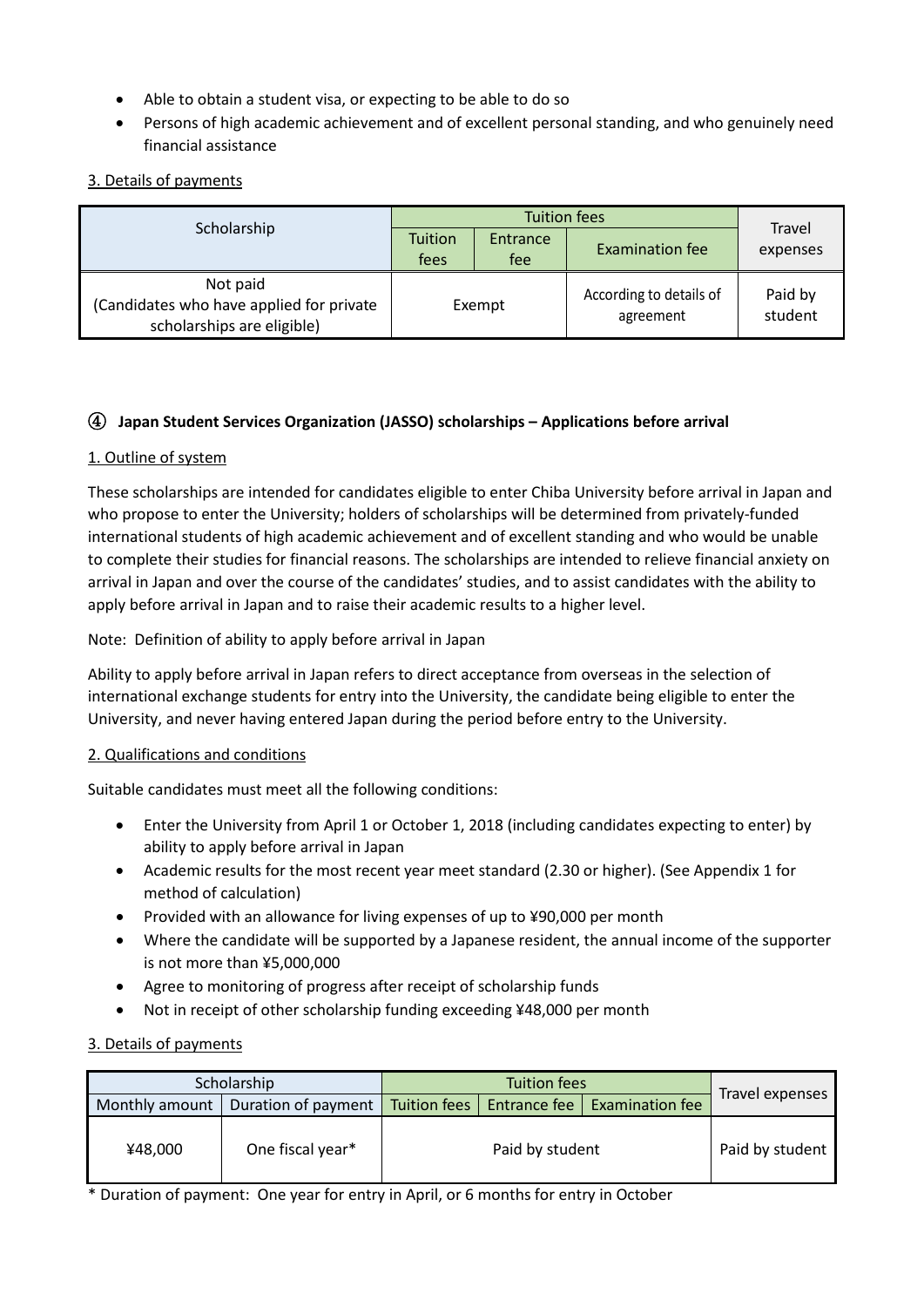- Able to obtain a student visa, or expecting to be able to do so
- Persons of high academic achievement and of excellent personal standing, and who genuinely need financial assistance

## 3. Details of payments

| Scholarship                                                                        | Tuition<br>fees | Entrance<br>fee | <b>Examination fee</b>               | Travel<br>expenses |  |
|------------------------------------------------------------------------------------|-----------------|-----------------|--------------------------------------|--------------------|--|
| Not paid<br>(Candidates who have applied for private<br>scholarships are eligible) |                 | Exempt          | According to details of<br>agreement | Paid by<br>student |  |

## ĺ **Japan Student Services Organization (JASSO) scholarships – Applications before arrival**

#### 1. Outline of system

These scholarships are intended for candidates eligible to enter Chiba University before arrival in Japan and who propose to enter the University; holders of scholarships will be determined from privately-funded international students of high academic achievement and of excellent standing and who would be unable to complete their studies for financial reasons. The scholarships are intended to relieve financial anxiety on arrival in Japan and over the course of the candidates' studies, and to assist candidates with the ability to apply before arrival in Japan and to raise their academic results to a higher level.

Note: Definition of ability to apply before arrival in Japan

Ability to apply before arrival in Japan refers to direct acceptance from overseas in the selection of international exchange students for entry into the University, the candidate being eligible to enter the University, and never having entered Japan during the period before entry to the University.

#### 2. Qualifications and conditions

Suitable candidates must meet all the following conditions:

- Enter the University from April 1 or October 1, 2018 (including candidates expecting to enter) by ability to apply before arrival in Japan
- Academic results for the most recent year meet standard (2.30 or higher). (See Appendix 1 for method of calculation)
- Provided with an allowance for living expenses of up to ¥90,000 per month
- Where the candidate will be supported by a Japanese resident, the annual income of the supporter is not more than ¥5,000,000
- Agree to monitoring of progress after receipt of scholarship funds
- Not in receipt of other scholarship funding exceeding ¥48,000 per month

#### 3. Details of payments

|                | Scholarship         |                                                | Travel expenses |  |                 |
|----------------|---------------------|------------------------------------------------|-----------------|--|-----------------|
| Monthly amount | Duration of payment | Entrance fee   Examination fee<br>Tuition fees |                 |  |                 |
| ¥48,000        | One fiscal year*    | Paid by student                                |                 |  | Paid by student |

\* Duration of payment: One year for entry in April, or 6 months for entry in October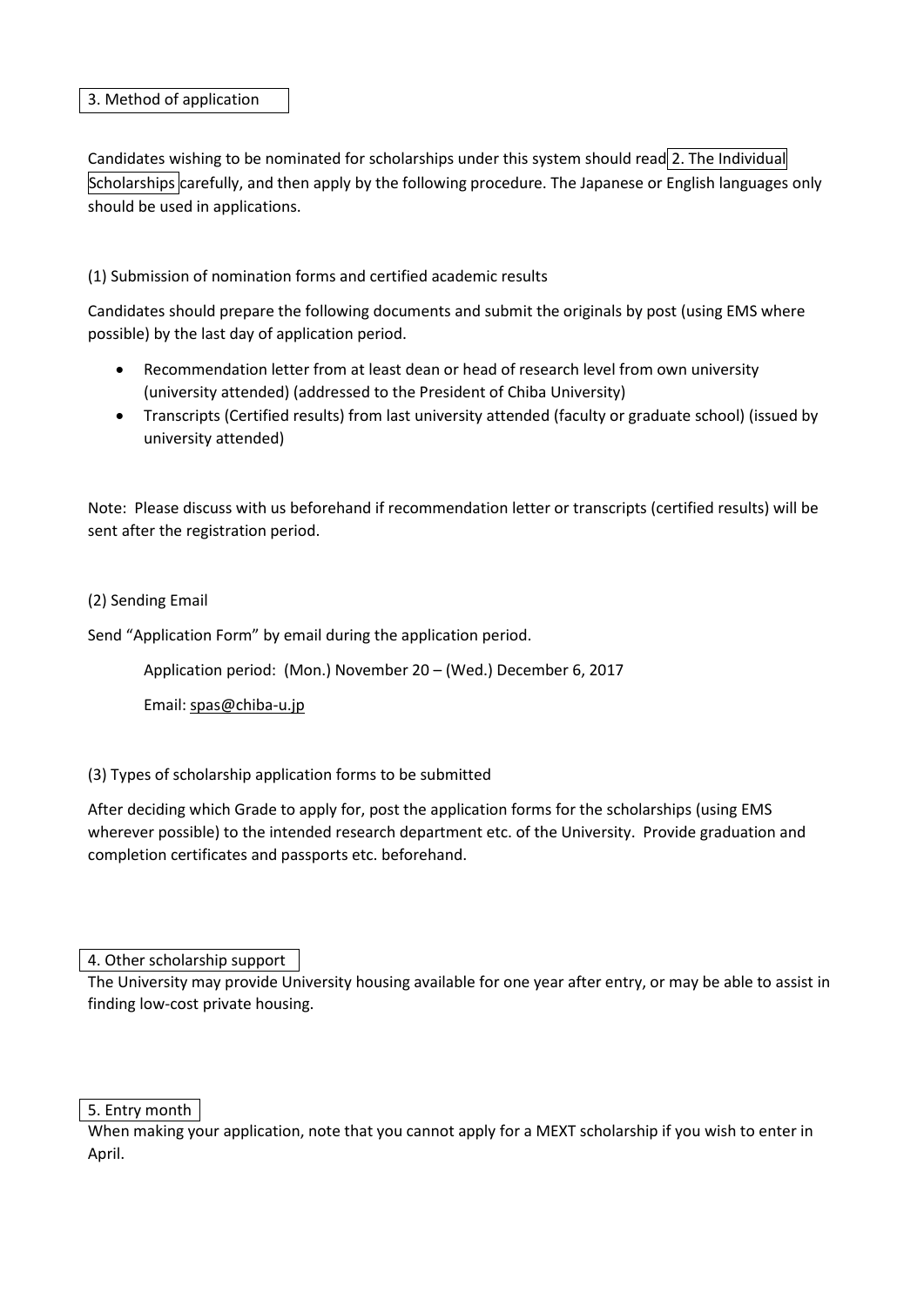#### 3. Method of application

Candidates wishing to be nominated for scholarships under this system should read 2. The Individual Scholarships carefully, and then apply by the following procedure. The Japanese or English languages only should be used in applications.

## (1) Submission of nomination forms and certified academic results

Candidates should prepare the following documents and submit the originals by post (using EMS where possible) by the last day of application period.

- x Recommendation letter from at least dean or head of research level from own university (university attended) (addressed to the President of Chiba University)
- Transcripts (Certified results) from last university attended (faculty or graduate school) (issued by university attended)

Note: Please discuss with us beforehand if recommendation letter or transcripts (certified results) will be sent after the registration period.

#### (2) Sending Email

Send "Application Form" by email during the application period.

Application period: (Mon.) November 20 – (Wed.) December 6, 2017

Email: spas@chiba-u.jp

(3) Types of scholarship application forms to be submitted

After deciding which Grade to apply for, post the application forms for the scholarships (using EMS wherever possible) to the intended research department etc. of the University. Provide graduation and completion certificates and passports etc. beforehand.

4. Other scholarship support

The University may provide University housing available for one year after entry, or may be able to assist in finding low-cost private housing.

5. Entry month

When making your application, note that you cannot apply for a MEXT scholarship if you wish to enter in April.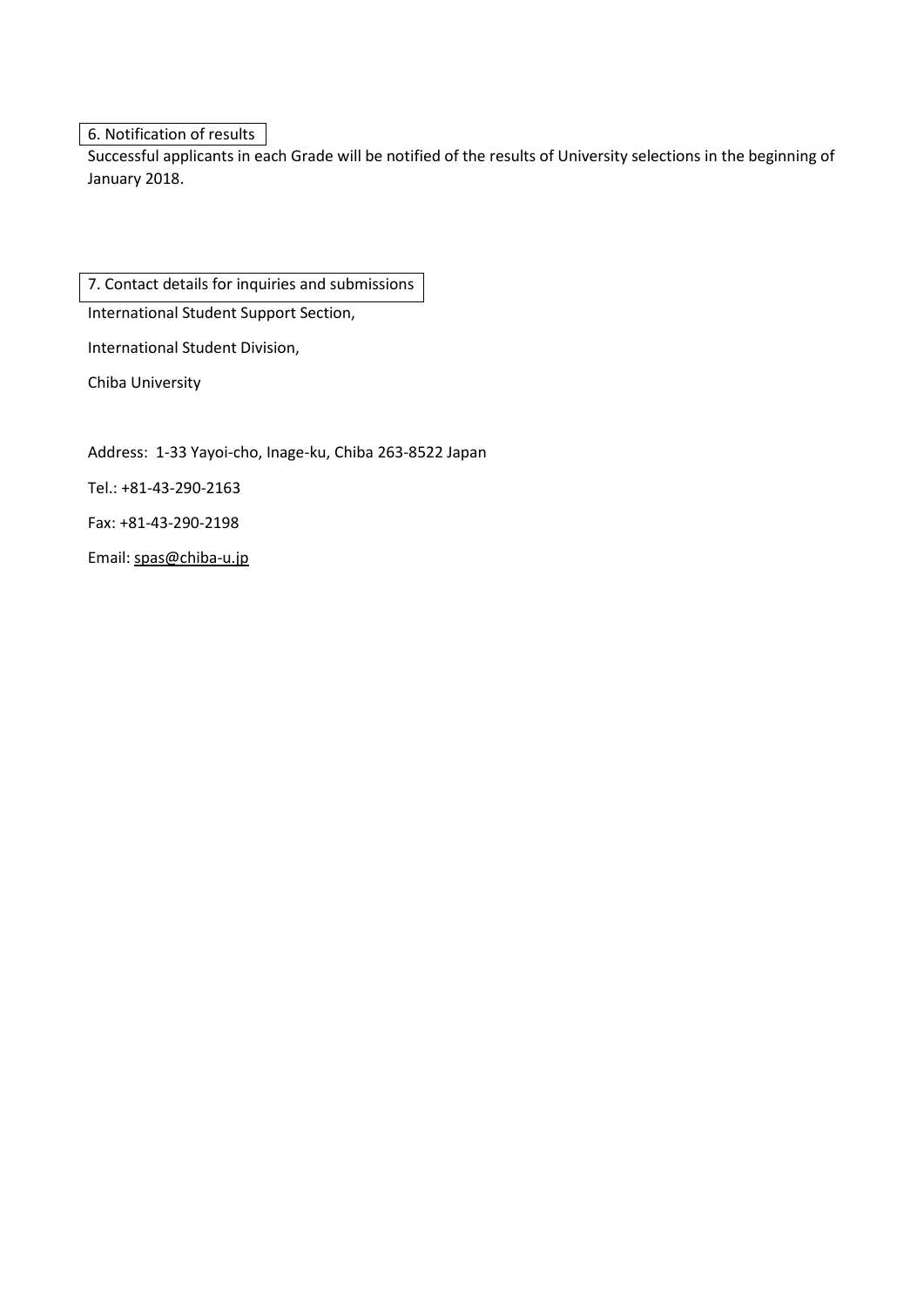6. Notification of results

Successful applicants in each Grade will be notified of the results of University selections in the beginning of January 2018.

7. Contact details for inquiries and submissions

International Student Support Section,

International Student Division,

Chiba University

Address: 1-33 Yayoi-cho, Inage-ku, Chiba 263-8522 Japan

Tel.: +81-43-290-2163

Fax: +81-43-290-2198

Email: spas@chiba-u.jp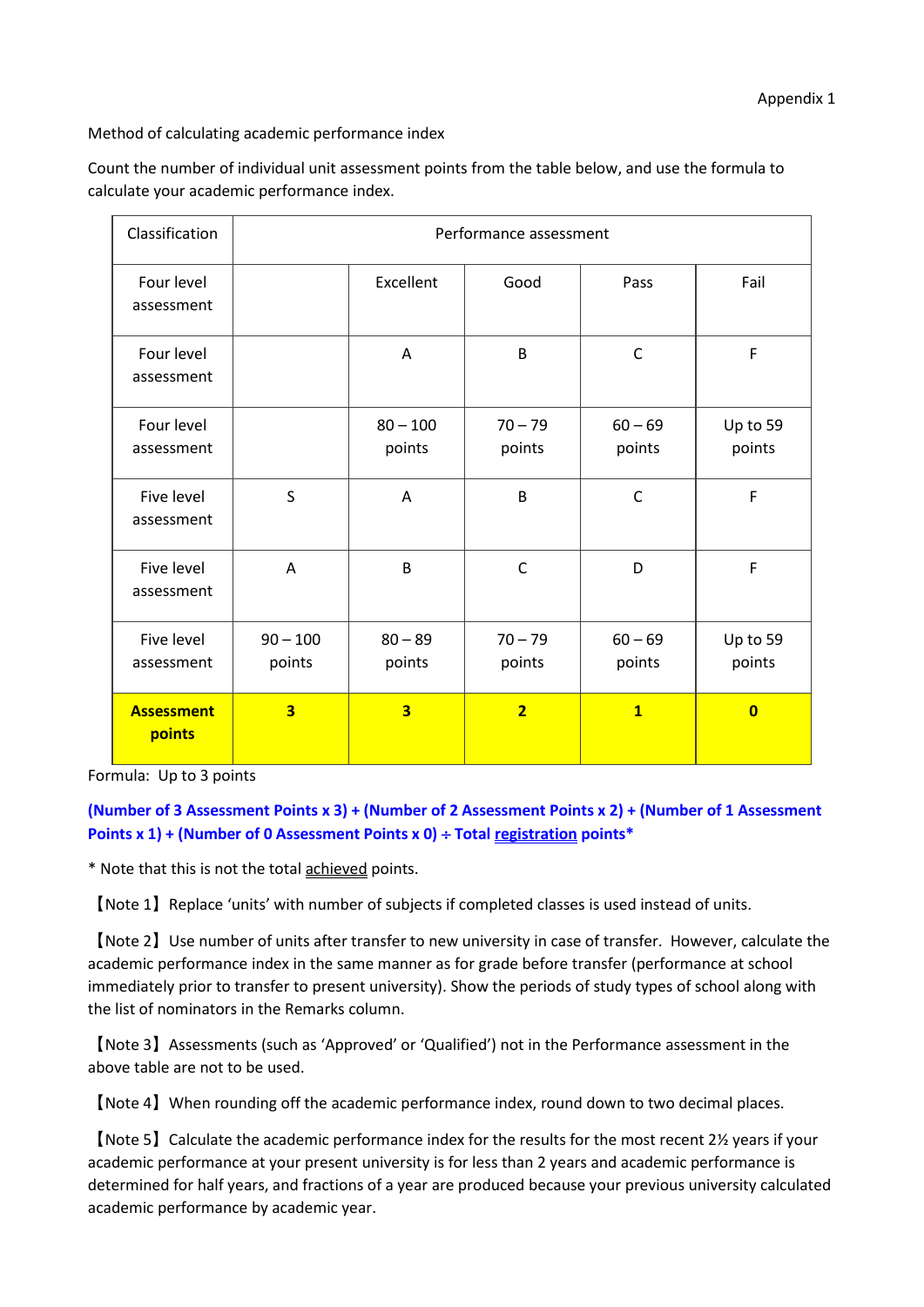Method of calculating academic performance index

Count the number of individual unit assessment points from the table below, and use the formula to calculate your academic performance index.

| Classification              | Performance assessment  |                         |                     |                         |                         |  |
|-----------------------------|-------------------------|-------------------------|---------------------|-------------------------|-------------------------|--|
| Four level<br>assessment    |                         | Excellent               | Good                | Pass                    | Fail                    |  |
| Four level<br>assessment    |                         | A                       | B                   | $\mathsf{C}$            | F                       |  |
| Four level<br>assessment    |                         | $80 - 100$<br>points    | $70 - 79$<br>points | $60 - 69$<br>points     | Up to 59<br>points      |  |
| Five level<br>assessment    | S                       | $\overline{A}$          | B                   | $\mathsf{C}$            | F                       |  |
| Five level<br>assessment    | Α                       | B                       | $\mathsf{C}$        | D                       | $\mathsf F$             |  |
| Five level<br>assessment    | $90 - 100$<br>points    | $80 - 89$<br>points     | $70 - 79$<br>points | $60 - 69$<br>points     | Up to 59<br>points      |  |
| <b>Assessment</b><br>points | $\overline{\mathbf{3}}$ | $\overline{\mathbf{3}}$ | $\overline{2}$      | $\overline{\mathbf{1}}$ | $\overline{\mathbf{0}}$ |  |

Formula: Up to 3 points

**(Number of 3 Assessment Points x 3) + (Number of 2 Assessment Points x 2) + (Number of 1 Assessment Points x 1) + (Number of 0 Assessment Points x 0) ÷ Total registration points\*** 

\* Note that this is not the total achieved points.

[Note 1] Replace 'units' with number of subjects if completed classes is used instead of units.

࠙Note 2ࠚUse number of units after transfer to new university in case of transfer. However, calculate the academic performance index in the same manner as for grade before transfer (performance at school immediately prior to transfer to present university). Show the periods of study types of school along with the list of nominators in the Remarks column.

࠙Note 3ࠚAssessments (such as 'Approved' or 'Qualified') not in the Performance assessment in the above table are not to be used.

࠙Note 4ࠚWhen rounding off the academic performance index, round down to two decimal places.

(Note 5) Calculate the academic performance index for the results for the most recent  $2\frac{y}{x}$  years if your academic performance at your present university is for less than 2 years and academic performance is determined for half years, and fractions of a year are produced because your previous university calculated academic performance by academic year.